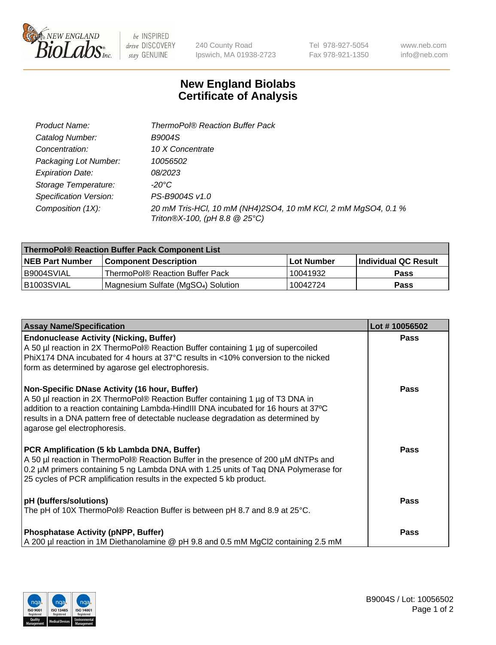

be INSPIRED drive DISCOVERY stay GENUINE

240 County Road Ipswich, MA 01938-2723

Tel 978-927-5054 Fax 978-921-1350 www.neb.com info@neb.com

## **New England Biolabs Certificate of Analysis**

| Product Name:           | <b>ThermoPol® Reaction Buffer Pack</b>                                                         |
|-------------------------|------------------------------------------------------------------------------------------------|
| Catalog Number:         | <b>B9004S</b>                                                                                  |
| Concentration:          | 10 X Concentrate                                                                               |
| Packaging Lot Number:   | 10056502                                                                                       |
| <b>Expiration Date:</b> | 08/2023                                                                                        |
| Storage Temperature:    | -20°C                                                                                          |
| Specification Version:  | PS-B9004S v1.0                                                                                 |
| Composition (1X):       | 20 mM Tris-HCl, 10 mM (NH4)2SO4, 10 mM KCl, 2 mM MgSO4, 0.1 %<br>Triton®X-100, (pH 8.8 @ 25°C) |

| ThermoPol® Reaction Buffer Pack Component List |                                    |            |                             |  |
|------------------------------------------------|------------------------------------|------------|-----------------------------|--|
| <b>INEB Part Number</b>                        | <b>Component Description</b>       | Lot Number | <b>Individual QC Result</b> |  |
| I B9004SVIAL                                   | ThermoPol® Reaction Buffer Pack_   | 10041932   | <b>Pass</b>                 |  |
| IB1003SVIAL                                    | Magnesium Sulfate (MgSO4) Solution | 10042724   | Pass                        |  |

| <b>Assay Name/Specification</b>                                                                                                                                                                                                                                                                                                             | Lot #10056502 |
|---------------------------------------------------------------------------------------------------------------------------------------------------------------------------------------------------------------------------------------------------------------------------------------------------------------------------------------------|---------------|
| <b>Endonuclease Activity (Nicking, Buffer)</b><br>A 50 µl reaction in 2X ThermoPol® Reaction Buffer containing 1 µg of supercoiled<br>PhiX174 DNA incubated for 4 hours at 37°C results in <10% conversion to the nicked<br>form as determined by agarose gel electrophoresis.                                                              | <b>Pass</b>   |
| Non-Specific DNase Activity (16 hour, Buffer)<br>A 50 µl reaction in 2X ThermoPol® Reaction Buffer containing 1 µg of T3 DNA in<br>addition to a reaction containing Lambda-HindIII DNA incubated for 16 hours at 37°C<br>results in a DNA pattern free of detectable nuclease degradation as determined by<br>agarose gel electrophoresis. | <b>Pass</b>   |
| PCR Amplification (5 kb Lambda DNA, Buffer)<br>A 50 µl reaction in ThermoPol® Reaction Buffer in the presence of 200 µM dNTPs and<br>0.2 µM primers containing 5 ng Lambda DNA with 1.25 units of Taq DNA Polymerase for<br>25 cycles of PCR amplification results in the expected 5 kb product.                                            | <b>Pass</b>   |
| pH (buffers/solutions)<br>The pH of 10X ThermoPol® Reaction Buffer is between pH 8.7 and 8.9 at 25°C.                                                                                                                                                                                                                                       | <b>Pass</b>   |
| <b>Phosphatase Activity (pNPP, Buffer)</b><br>A 200 µl reaction in 1M Diethanolamine @ pH 9.8 and 0.5 mM MgCl2 containing 2.5 mM                                                                                                                                                                                                            | <b>Pass</b>   |